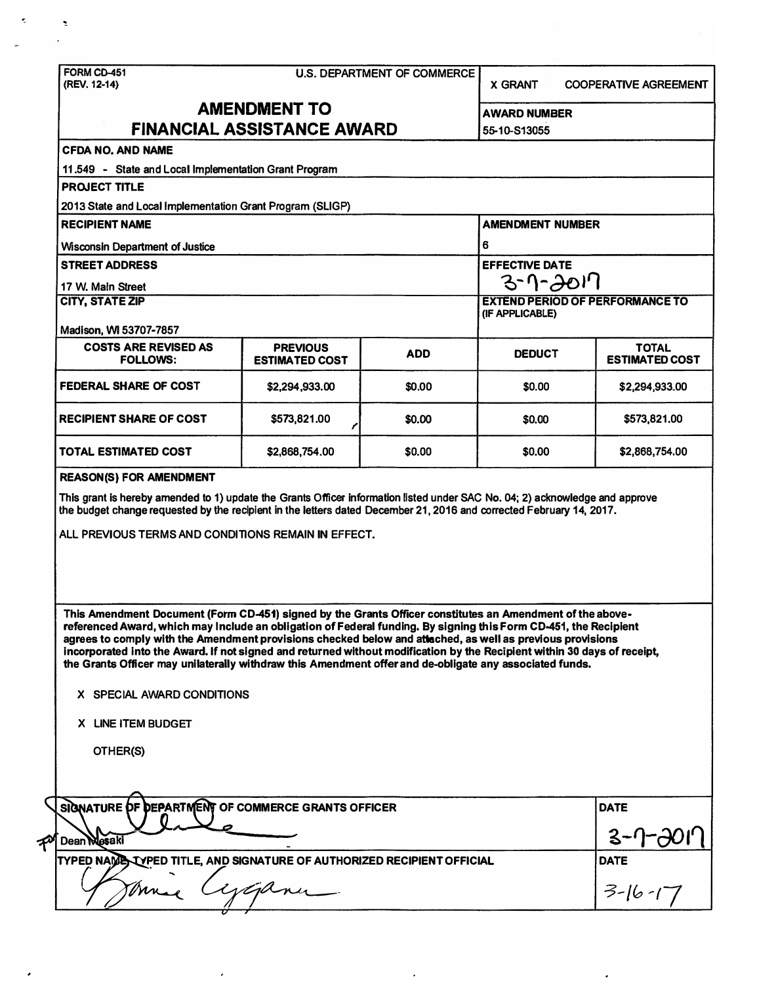| FORM CD-451<br>(REV. 12-14)                                                                                                                                                                                                                                                                                                                                                                                                                                                                                                                                                       | <b>U.S. DEPARTMENT OF COMMERCE</b>       |            |                                     |             | <b>COOPERATIVE AGREEMENT</b><br><b>X GRANT</b> |  |  |  |  |
|-----------------------------------------------------------------------------------------------------------------------------------------------------------------------------------------------------------------------------------------------------------------------------------------------------------------------------------------------------------------------------------------------------------------------------------------------------------------------------------------------------------------------------------------------------------------------------------|------------------------------------------|------------|-------------------------------------|-------------|------------------------------------------------|--|--|--|--|
| <b>AMENDMENT TO</b><br>FINANCIAL ASSISTANCE AWARD                                                                                                                                                                                                                                                                                                                                                                                                                                                                                                                                 |                                          |            | <b>AWARD NUMBER</b><br>55-10-S13055 |             |                                                |  |  |  |  |
| <b>CFDA NO. AND NAME</b>                                                                                                                                                                                                                                                                                                                                                                                                                                                                                                                                                          |                                          |            |                                     |             |                                                |  |  |  |  |
| 11.549 - State and Local Implementation Grant Program                                                                                                                                                                                                                                                                                                                                                                                                                                                                                                                             |                                          |            |                                     |             |                                                |  |  |  |  |
| <b>PROJECT TITLE</b>                                                                                                                                                                                                                                                                                                                                                                                                                                                                                                                                                              |                                          |            |                                     |             |                                                |  |  |  |  |
| 2013 State and Local Implementation Grant Program (SLIGP)                                                                                                                                                                                                                                                                                                                                                                                                                                                                                                                         |                                          |            |                                     |             |                                                |  |  |  |  |
| <b>RECIPIENT NAME</b>                                                                                                                                                                                                                                                                                                                                                                                                                                                                                                                                                             |                                          |            | <b>AMENDMENT NUMBER</b>             |             |                                                |  |  |  |  |
| <b>Wisconsin Department of Justice</b>                                                                                                                                                                                                                                                                                                                                                                                                                                                                                                                                            |                                          |            | 6                                   |             |                                                |  |  |  |  |
| <b>STREET ADDRESS</b>                                                                                                                                                                                                                                                                                                                                                                                                                                                                                                                                                             |                                          |            | <b>EFFECTIVE DATE</b>               |             |                                                |  |  |  |  |
| 17 W. Main Street                                                                                                                                                                                                                                                                                                                                                                                                                                                                                                                                                                 |                                          |            | 3-1-2017                            |             |                                                |  |  |  |  |
| <b>CITY, STATE ZIP</b>                                                                                                                                                                                                                                                                                                                                                                                                                                                                                                                                                            |                                          |            |                                     |             | <b>EXTEND PERIOD OF PERFORMANCE TO</b>         |  |  |  |  |
|                                                                                                                                                                                                                                                                                                                                                                                                                                                                                                                                                                                   |                                          |            | (IF APPLICABLE)                     |             |                                                |  |  |  |  |
| Madison, WI 53707-7857                                                                                                                                                                                                                                                                                                                                                                                                                                                                                                                                                            |                                          |            |                                     |             |                                                |  |  |  |  |
| <b>COSTS ARE REVISED AS</b><br><b>FOLLOWS:</b>                                                                                                                                                                                                                                                                                                                                                                                                                                                                                                                                    | <b>PREVIOUS</b><br><b>ESTIMATED COST</b> | <b>ADD</b> | <b>DEDUCT</b>                       |             | <b>TOTAL</b><br><b>ESTIMATED COST</b>          |  |  |  |  |
| FEDERAL SHARE OF COST                                                                                                                                                                                                                                                                                                                                                                                                                                                                                                                                                             | \$2,294,933.00                           | \$0.00     | \$0.00                              |             | \$2,294,933.00                                 |  |  |  |  |
| <b>RECIPIENT SHARE OF COST</b>                                                                                                                                                                                                                                                                                                                                                                                                                                                                                                                                                    | \$573,821.00                             | \$0.00     | \$0.00                              |             | \$573,821.00                                   |  |  |  |  |
| <b>TOTAL ESTIMATED COST</b>                                                                                                                                                                                                                                                                                                                                                                                                                                                                                                                                                       | \$2,868,754.00                           | \$0.00     | \$0.00                              |             | \$2,868,754.00                                 |  |  |  |  |
| ALL PREVIOUS TERMS AND CONDITIONS REMAIN IN EFFECT.                                                                                                                                                                                                                                                                                                                                                                                                                                                                                                                               |                                          |            |                                     |             |                                                |  |  |  |  |
| This Amendment Document (Form CD-451) signed by the Grants Officer constitutes an Amendment of the above-<br>referenced Award, which may Include an obligation of Federal funding. By signing this Form CD-451, the Recipient<br>agrees to comply with the Amendment provisions checked below and attached, as well as previous provisions<br>incorporated into the Award. If not signed and returned without modification by the Recipient within 30 days of receipt,<br>the Grants Officer may unilaterally withdraw this Amendment offer and de-obligate any associated funds. |                                          |            |                                     |             |                                                |  |  |  |  |
| X SPECIAL AWARD CONDITIONS                                                                                                                                                                                                                                                                                                                                                                                                                                                                                                                                                        |                                          |            |                                     |             |                                                |  |  |  |  |
| <b>X LINE ITEM BUDGET</b>                                                                                                                                                                                                                                                                                                                                                                                                                                                                                                                                                         |                                          |            |                                     |             |                                                |  |  |  |  |
| OTHER(S)                                                                                                                                                                                                                                                                                                                                                                                                                                                                                                                                                                          |                                          |            |                                     |             |                                                |  |  |  |  |
| SIGNATURE OF DEPARTMENT OF COMMERCE GRANTS OFFICER                                                                                                                                                                                                                                                                                                                                                                                                                                                                                                                                |                                          |            |                                     |             | <b>DATE</b>                                    |  |  |  |  |
| Dean Mosaki                                                                                                                                                                                                                                                                                                                                                                                                                                                                                                                                                                       |                                          |            |                                     | $3 - 1 - c$ |                                                |  |  |  |  |
| TYPED NAME TYPED TITLE, AND SIGNATURE OF AUTHORIZED RECIPIENT OFFICIAL                                                                                                                                                                                                                                                                                                                                                                                                                                                                                                            |                                          |            |                                     |             | <b>DATE</b>                                    |  |  |  |  |
| yapme                                                                                                                                                                                                                                                                                                                                                                                                                                                                                                                                                                             |                                          |            | $3-16-17$                           |             |                                                |  |  |  |  |

 $\epsilon$ 

 $\ddot{\phantom{0}}$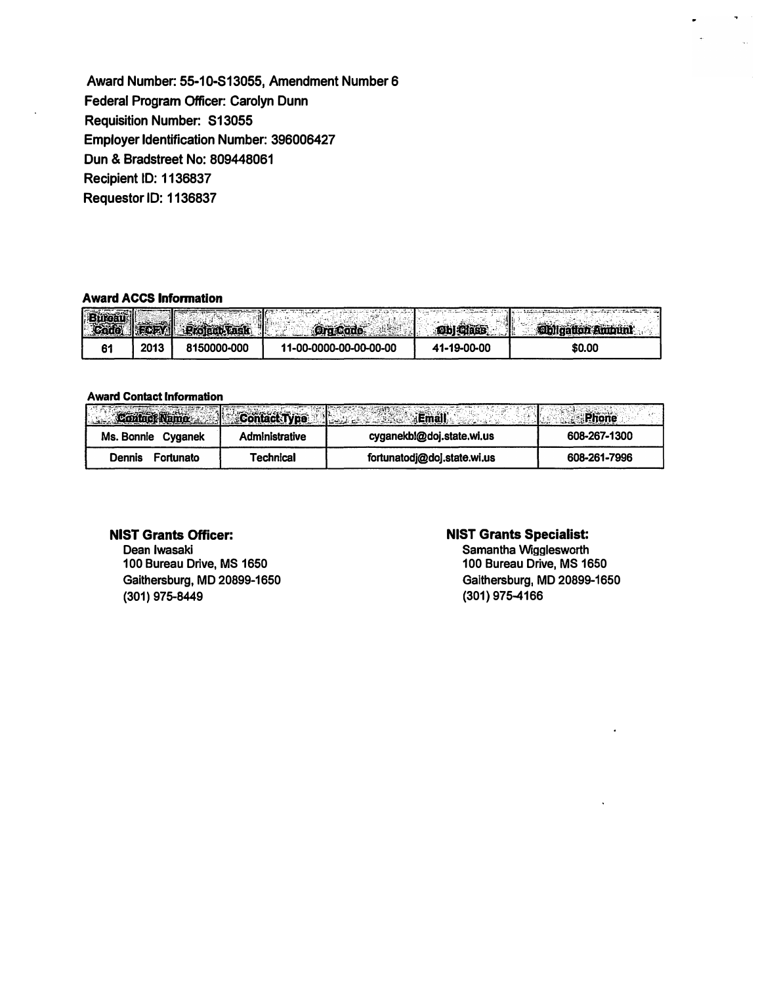**Award Number. 55-1 O-S13055, Amendment Number 6 Federal Program Officer: Carolyn Dunn Requisition Number. S13055 Employer Identification Number: 396006427 Dun & Bradstreet No: 809448061 Recipient ID: 1136837 Requestor ID: 1136837** 

#### **Award ACCS Information**

| <b>DB</b> |      | <b>INFORM Profect Task</b> | <b>Ora Cade</b>        | <b>Obl</b> Class | <b>Obligation Ambunk</b><br>訛 |
|-----------|------|----------------------------|------------------------|------------------|-------------------------------|
|           | 2013 | 8150000-000                | 11-00-0000-00-00-00-00 | 41-19-00-00      | \$0.00                        |

#### **Award Contact Information**

| Contact Name   Contact Type |                       | <b><i><u>Branch School</u></i></b> |              |
|-----------------------------|-----------------------|------------------------------------|--------------|
| Ms. Bonnie<br>Cvganek       | <b>Administrative</b> | cyganekbl@doj.state.wi.us          | 608-267-1300 |
| Fortunato<br>Dennis         | Technical             | fortunatodj@doj.state.wi.us        | 608-261-7996 |

# **NIST Grants Officer:**

**Dean Iwasaki 100 Bureau Drive, MS 1650 Gaithersburg, MD 20899-1650 (301) 975-8449**

## **NIST Grants Specialist:**

**Samantha Wigglesworth 100 Bureau Drive, MS 1650 Galthersburg**1 **MD 20899-1650 (301) 975-4166**

 $\hat{\mathbf{r}}$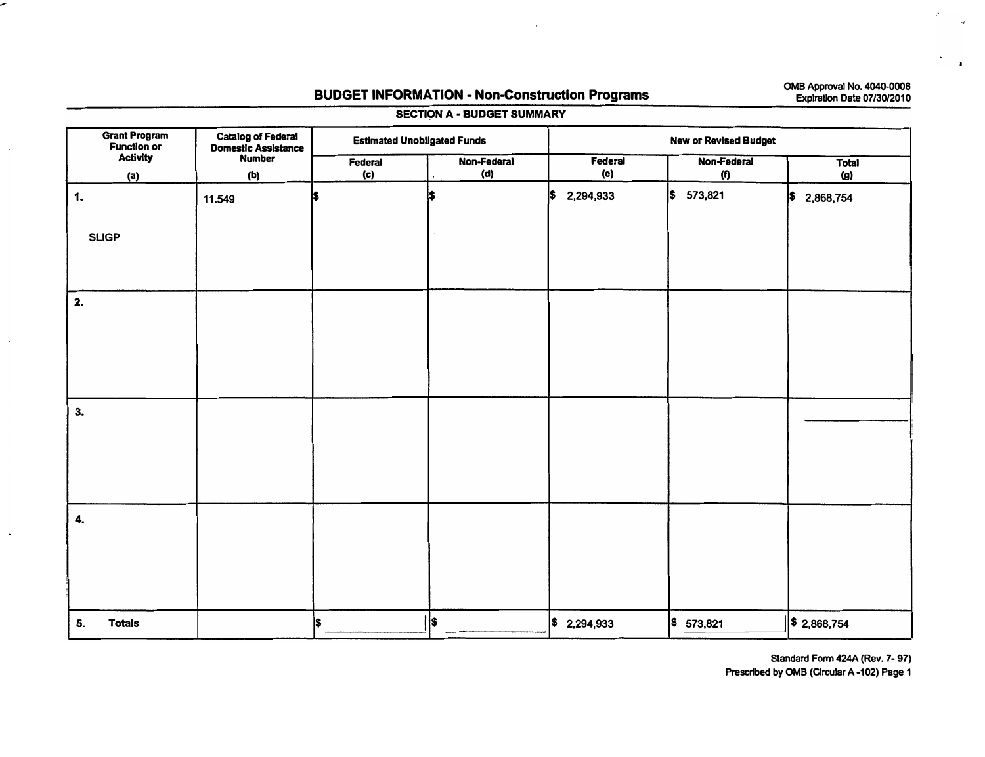## **BUDGET INFORMATION - Non-Construction Programs**

**0MB Approval No. 4040-0006 Expiration Date 07/30/2010** 

| <b>Grant Program</b><br><b>Function or</b>     | <b>Catalog of Federal<br/>Domestic Assistance</b> | <b>Estimated Unobligated Funds</b> |                    | <b>New or Revised Budget</b> |                    |                     |  |  |
|------------------------------------------------|---------------------------------------------------|------------------------------------|--------------------|------------------------------|--------------------|---------------------|--|--|
| <b>Activity</b><br><b>Number</b><br>(b)<br>(a) |                                                   | Federal<br>(c)                     | Non-Federal<br>(d) | Federal<br>(e)               | Non-Federal<br>(f) | <b>Total</b><br>(g) |  |  |
| 1.<br><b>SLIGP</b>                             | 11.549                                            | I\$                                | l\$                | l\$<br>2,294,933             | \$<br>573,821      | \$∣<br>2,868,754    |  |  |
| 2.                                             |                                                   |                                    |                    |                              |                    |                     |  |  |
| 3.                                             |                                                   |                                    |                    |                              |                    |                     |  |  |
| 4.                                             |                                                   |                                    |                    |                              |                    |                     |  |  |
| <b>Totals</b><br>5.                            |                                                   | l\$                                | ll\$               | \$2,294,933                  | \$<br>573,821      | $\ \$2,868,754$     |  |  |

**SECTION A - BUDGET SUMMARY** 

 $\mathbf{r}$ 

**Standard Form 424A {Rev. 7- 97)** 

**Prescribed by 0MB (Circular A-102) Page 1**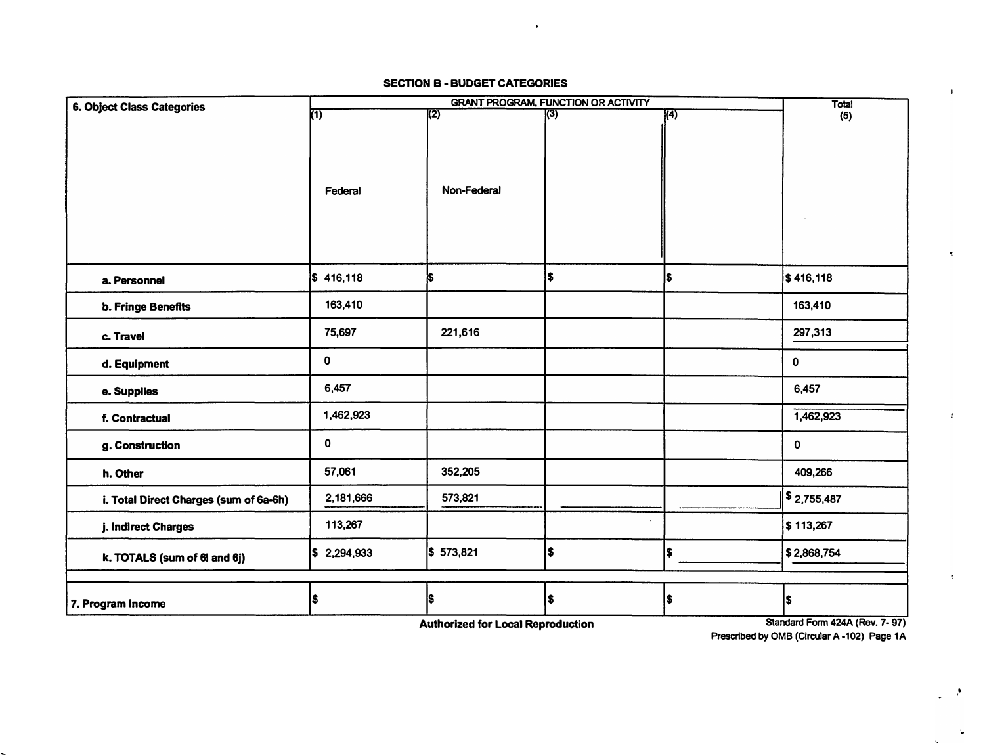## **SECTION B - BUDGET CATEGORIES**

 $\mathcal{A}$ 

| <b>6. Object Class Categories</b>      |                | <b>Total</b>     |     |                  |                                              |  |
|----------------------------------------|----------------|------------------|-----|------------------|----------------------------------------------|--|
|                                        | $\overline{}}$ | $\overline{(2)}$ | (3) | $\overline{(4)}$ | (5)                                          |  |
|                                        | Federal        | Non-Federal      |     |                  |                                              |  |
| a. Personnel                           | \$416,118      | ¦\$              | \$  | l\$              | \$416,118                                    |  |
| b. Fringe Benefits                     | 163,410        |                  |     |                  | 163,410                                      |  |
| c. Travel                              | 75,697         | 221,616          |     |                  | 297,313                                      |  |
| d. Equipment                           | $\pmb{0}$      |                  |     |                  | $\mathbf 0$                                  |  |
| e. Supplies                            | 6,457          |                  |     |                  | 6,457                                        |  |
| f. Contractual                         | 1,462,923      |                  |     |                  | 1,462,923                                    |  |
| g. Construction                        | 0              |                  |     |                  | 0                                            |  |
| h. Other                               | 57,061         | 352,205          |     |                  | 409,266                                      |  |
| i. Total Direct Charges (sum of 6a-6h) | 2,181,666      | 573,821          |     |                  | $\frac{1}{2}$ ,755,487                       |  |
| j. Indirect Charges                    | 113,267        |                  |     |                  | \$113,267                                    |  |
| k. TOTALS (sum of 6l and 6j)           | \$2,294,933    | \$573,821        | \$  | \$               | \$2,868,754                                  |  |
|                                        |                |                  |     |                  |                                              |  |
| 7. Program Income                      | \$             | l\$              | \$  | \$               | l\$<br>$1 - 1011$ $(0.11)$ $(0.11)$ $(0.11)$ |  |

**Authorized for Local Reproduction** 

**Standard Form 424A (Rev. 7- 97) Prescribed by 0MB (Circular A-102) Page 1A** 

,•

 $\sim$ 

 $\overline{a}$ 

 $\mathbf{r}$ 

 $\mathbf{F}$ 

 $\blacktriangleleft$ 

 $\pm$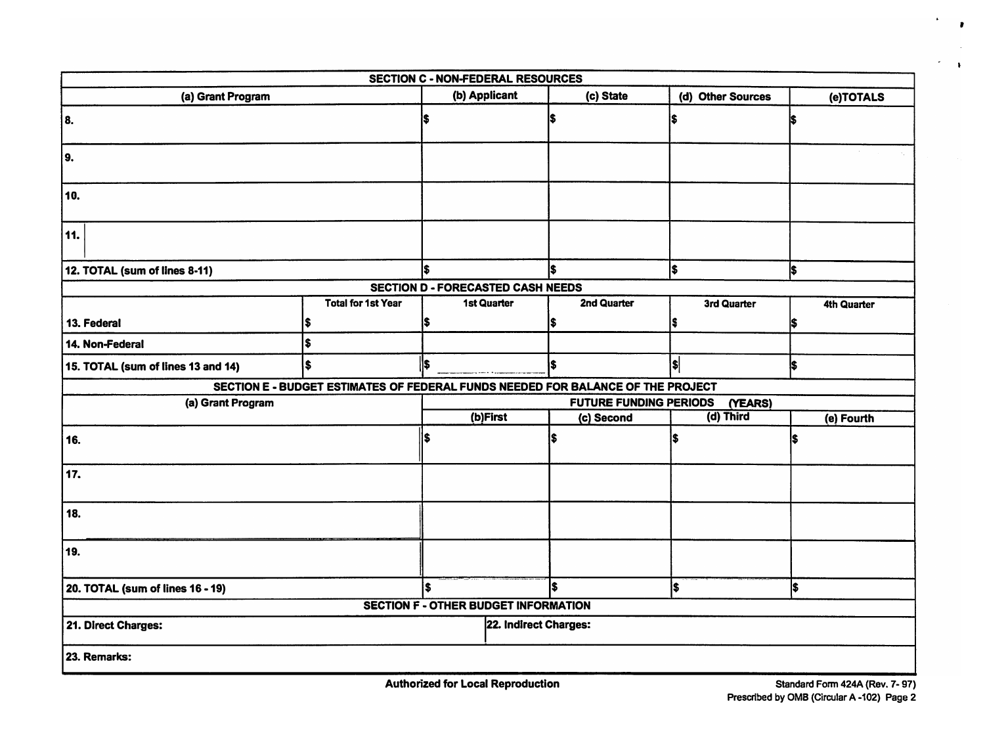| <b>SECTION C - NON-FEDERAL RESOURCES</b>    |                           |                                          |                       |                                                                                 |                   |             |           |             |
|---------------------------------------------|---------------------------|------------------------------------------|-----------------------|---------------------------------------------------------------------------------|-------------------|-------------|-----------|-------------|
| (a) Grant Program                           |                           | (b) Applicant                            |                       | (c) State                                                                       | (d) Other Sources |             | (e)TOTALS |             |
| 8.                                          |                           |                                          |                       | I\$                                                                             | S                 |             | iS.       |             |
| 9.                                          |                           |                                          |                       |                                                                                 |                   |             |           |             |
| 10.                                         |                           |                                          |                       |                                                                                 |                   |             |           |             |
| 11.                                         |                           |                                          |                       |                                                                                 |                   |             |           |             |
| 12. TOTAL (sum of lines 8-11)               |                           | ls.                                      |                       | l\$                                                                             | ls                |             | İ\$       |             |
|                                             |                           | <b>SECTION D - FORECASTED CASH NEEDS</b> |                       |                                                                                 |                   |             |           |             |
|                                             | <b>Total for 1st Year</b> |                                          | 1st Quarter           | 2nd Quarter                                                                     |                   | 3rd Quarter |           | 4th Quarter |
| 13. Federal                                 |                           | \$                                       |                       | I\$                                                                             |                   |             | S         |             |
| 14. Non-Federal                             |                           |                                          |                       |                                                                                 |                   |             |           |             |
| S<br>15. TOTAL (sum of lines 13 and 14)     |                           | ls                                       |                       | \$                                                                              | \$                |             | ls        |             |
|                                             |                           |                                          |                       | SECTION E - BUDGET ESTIMATES OF FEDERAL FUNDS NEEDED FOR BALANCE OF THE PROJECT |                   |             |           |             |
| (a) Grant Program                           |                           |                                          |                       | <b>FUTURE FUNDING PERIODS</b>                                                   |                   | (YEARS)     |           |             |
|                                             |                           |                                          | (b)First              | (c) Second                                                                      |                   | (d) Third   |           | (e) Fourth  |
| 16.                                         |                           | \$                                       |                       | Ŝ                                                                               |                   |             |           |             |
| 17.                                         |                           |                                          |                       |                                                                                 |                   |             |           |             |
| 18.                                         |                           |                                          |                       |                                                                                 |                   |             |           |             |
| 19.                                         |                           |                                          |                       |                                                                                 |                   |             |           |             |
| 20. TOTAL (sum of lines 16 - 19)            |                           | \$                                       |                       | l\$                                                                             | I\$               |             | I\$       |             |
| <b>SECTION F - OTHER BUDGET INFORMATION</b> |                           |                                          |                       |                                                                                 |                   |             |           |             |
| 21. Direct Charges:                         |                           |                                          | 22. Indirect Charges: |                                                                                 |                   |             |           |             |
| 23. Remarks:                                |                           |                                          |                       |                                                                                 |                   |             |           |             |

**Authorized for Local Reproduction** 

 $\ddot{\phantom{a}}$  $\mathbf{r}$ 

 $\Delta\tau$  $\mathbf{V}$ Ü,